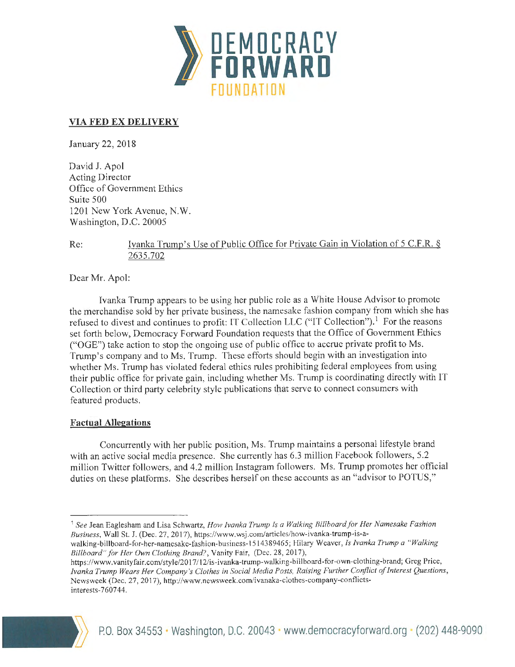

# **VIA FED EX DELIVERY**

January 22, 2018

David J. Apol Acting Director Office of Government Ethics Suite 500 1201 New York Avenue, N.W. Washington, D.C. 20005

Re: Ivanka Trump's Use of Public Office for Private Gain in Violation of 5 C.F.R. § 2635.702

Dear Mr. Apo!:

Ivanka Trump appears to be using her public role as a White House Advisor to promote the merchandise sold by her private business, the namesake fashion company from which she has refused to divest and continues to profit: IT Collection LLC ("IT Collection").<sup>1</sup> For the reasons set forth below, Democracy Forward Foundation requests that the Office of Government Ethics ("OGE") take action to stop the ongoing use of public office to accrue private profit to Ms. Trump's company and to Ms. Trump. These efforts should begin with an investigation into whether Ms. Trump has violated federal ethics rules prohibiting federal employees from using their public office for private gain, including whether Ms. Trump is coordinating directly with IT Collection or third party celebrity style publications that serve to connect consumers with featured products.

### **Factual Allegations**

Concurrently with her public position, Ms. Trump maintains a personal lifestyle brand with an active social media presence. She currently has 6.3 million Facebook followers, 5.2 million Twitter followers, and 4.2 million Instagram followers. Ms. Trump promotes her official duties on these platforms. She describes herself on these accounts as an "advisor to POTUS,"

*Billboard" for Her Own Clothing Brand?,* Vanity Fair, (Dec. 28, 2017),

https://www.vanityfair.com/style/2017 /12/is-ivanka-trump-walking-billboard-for-own-clothing-brand; Greg Price, *Jvanka Trump Wears Her Company's Clothes in Social Media Posts, Raising Further Conflict of Interest Questions,*  Newsweek (Dec. 27, 2017), http://www.newsweek.com/ivanaka-clothes-company-conflictsinterests- 7 607 44.



<sup>&</sup>lt;sup>1</sup> See Jean Eaglesham and Lisa Schwartz, *How Ivanka Trump Is a Walking Billboard for Her Namesake Fashion Business,* Wall St. J. (Dec. 27, 2017) , https://www.wsj.com /articles/how-ivanka-trump-is-awalking-billboard-for-her-namesake-fashion-business-1 5 14389465; Hilary Weaver, *ls Jvanka Trump a "Walking*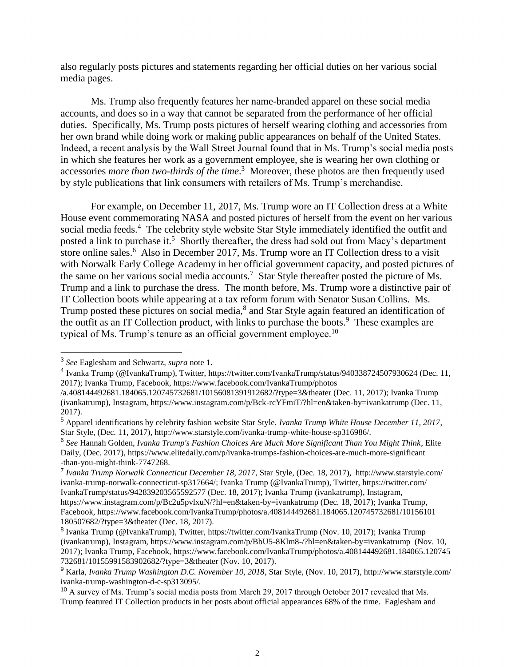also regularly posts pictures and statements regarding her official duties on her various social media pages.

Ms. Trump also frequently features her name-branded apparel on these social media accounts, and does so in a way that cannot be separated from the performance of her official duties. Specifically, Ms. Trump posts pictures of herself wearing clothing and accessories from her own brand while doing work or making public appearances on behalf of the United States. Indeed, a recent analysis by the Wall Street Journal found that in Ms. Trump's social media posts in which she features her work as a government employee, she is wearing her own clothing or accessories *more than two-thirds of the time*. 3 Moreover, these photos are then frequently used by style publications that link consumers with retailers of Ms. Trump's merchandise.

For example, on December 11, 2017, Ms. Trump wore an IT Collection dress at a White House event commemorating NASA and posted pictures of herself from the event on her various social media feeds.<sup>4</sup> The celebrity style website Star Style immediately identified the outfit and posted a link to purchase it.<sup>5</sup> Shortly thereafter, the dress had sold out from Macy's department store online sales.<sup>6</sup> Also in December 2017, Ms. Trump wore an IT Collection dress to a visit with Norwalk Early College Academy in her official government capacity, and posted pictures of the same on her various social media accounts.<sup>7</sup> Star Style thereafter posted the picture of Ms. Trump and a link to purchase the dress. The month before, Ms. Trump wore a distinctive pair of IT Collection boots while appearing at a tax reform forum with Senator Susan Collins. Ms. Trump posted these pictures on social media,<sup>8</sup> and Star Style again featured an identification of the outfit as an IT Collection product, with links to purchase the boots.<sup>9</sup> These examples are typical of Ms. Trump's tenure as an official government employee.<sup>10</sup>

 $\overline{a}$ 

<sup>3</sup> *See* Eaglesham and Schwartz, *supra* note 1.

<sup>4</sup> Ivanka Trump (@IvankaTrump), Twitter, https://twitter.com/IvankaTrump/status/940338724507930624 (Dec. 11, 2017); Ivanka Trump, Facebook, https://www.facebook.com/IvankaTrump/photos

<sup>/</sup>a.408144492681.184065.120745732681/10156081391912682/?type=3&theater (Dec. 11, 2017); Ivanka Trump (ivankatrump), Instagram, https://www.instagram.com/p/Bck-rcYFmiT/?hl=en&taken-by=ivankatrump (Dec. 11, 2017).

<sup>5</sup> Apparel identifications by celebrity fashion website Star Style. *Ivanka Trump White House December 11, 2017*, Star Style, (Dec. 11, 2017), http://www.starstyle.com/ivanka-trump-white-house-sp316986/.

<sup>6</sup> *See* Hannah Golden, *Ivanka Trump's Fashion Choices Are Much More Significant Than You Might Think*, Elite Daily, (Dec. 2017), https://www.elitedaily.com/p/ivanka-trumps-fashion-choices-are-much-more-significant -than-you-might-think-7747268.

<sup>7</sup> *Ivanka Trump Norwalk Connecticut December 18, 2017*, Star Style, (Dec. 18, 2017), http://www.starstyle.com/ ivanka-trump-norwalk-connecticut-sp317664/; Ivanka Trump (@IvankaTrump), Twitter, https://twitter.com/ IvankaTrump/status/942839203565592577 (Dec. 18, 2017); Ivanka Trump (ivankatrump), Instagram, https://www.instagram.com/p/Bc2u5pvlxuN/?hl=en&taken-by=ivankatrump (Dec. 18, 2017); Ivanka Trump, Facebook, https://www.facebook.com/IvankaTrump/photos/a.408144492681.184065.120745732681/10156101 180507682/?type=3&theater (Dec. 18, 2017).

<sup>&</sup>lt;sup>8</sup> Ivanka Trump (@IvankaTrump), Twitter, https://twitter.com/IvankaTrump (Nov. 10, 2017); Ivanka Trump (ivankatrump), Instagram, https://www.instagram.com/p/BbU5-8Klm8-/?hl=en&taken-by=ivankatrump (Nov. 10, 2017); Ivanka Trump, Facebook, https://www.facebook.com/IvankaTrump/photos/a.408144492681.184065.120745 732681/10155991583902682/?type=3&theater (Nov. 10, 2017).

<sup>9</sup> Karla, *Ivanka Trump Washington D.C. November 10, 2018*, Star Style, (Nov. 10, 2017), http://www.starstyle.com/ ivanka-trump-washington-d-c-sp313095/.

<sup>&</sup>lt;sup>10</sup> A survey of Ms. Trump's social media posts from March 29, 2017 through October 2017 revealed that Ms. Trump featured IT Collection products in her posts about official appearances 68% of the time. Eaglesham and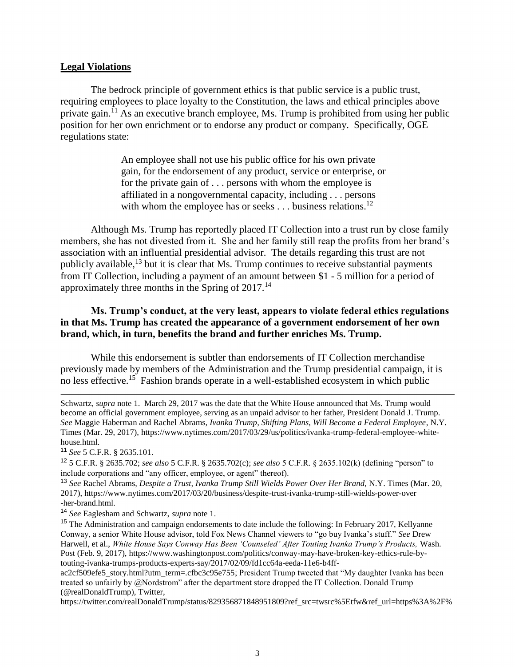#### **Legal Violations**

The bedrock principle of government ethics is that public service is a public trust, requiring employees to place loyalty to the Constitution, the laws and ethical principles above private gain.<sup>11</sup> As an executive branch employee, Ms. Trump is prohibited from using her public position for her own enrichment or to endorse any product or company. Specifically, OGE regulations state:

> An employee shall not use his public office for his own private gain, for the endorsement of any product, service or enterprise, or for the private gain of . . . persons with whom the employee is affiliated in a nongovernmental capacity, including . . . persons with whom the employee has or seeks  $\dots$  business relations.<sup>12</sup>

Although Ms. Trump has reportedly placed IT Collection into a trust run by close family members, she has not divested from it. She and her family still reap the profits from her brand's association with an influential presidential advisor. The details regarding this trust are not publicly available, $^{13}$  but it is clear that Ms. Trump continues to receive substantial payments from IT Collection, including a payment of an amount between \$1 - 5 million for a period of approximately three months in the Spring of  $2017$ .<sup>14</sup>

# **Ms. Trump's conduct, at the very least, appears to violate federal ethics regulations in that Ms. Trump has created the appearance of a government endorsement of her own brand, which, in turn, benefits the brand and further enriches Ms. Trump.**

While this endorsement is subtler than endorsements of IT Collection merchandise previously made by members of the Administration and the Trump presidential campaign, it is no less effective.<sup>15</sup> Fashion brands operate in a well-established ecosystem in which public

<sup>11</sup> *See* 5 C.F.R. § 2635.101.

 $\overline{a}$ 

<sup>12</sup> 5 C.F.R. § 2635.702; *see also* 5 C.F.R. § 2635.702(c); *see also* 5 C.F.R. § 2635.102(k) (defining "person" to include corporations and "any officer, employee, or agent" thereof).

<sup>13</sup> *See* Rachel Abrams, *Despite a Trust, Ivanka Trump Still Wields Power Over Her Brand,* N.Y. Times (Mar. 20, 2017), https://www.nytimes.com/2017/03/20/business/despite-trust-ivanka-trump-still-wields-power-over -her-brand.html.

<sup>14</sup> *See* Eaglesham and Schwartz, *supra* note 1.

ac2cf509efe5\_story.html?utm\_term=.cfbc3c95e755; President Trump tweeted that "My daughter Ivanka has been treated so unfairly by @Nordstrom" after the department store dropped the IT Collection. Donald Trump (@realDonaldTrump), Twitter,

https://twitter.com/realDonaldTrump/status/829356871848951809?ref\_src=twsrc%5Etfw&ref\_url=https%3A%2F%

Schwartz, *supra* note 1. March 29, 2017 was the date that the White House announced that Ms. Trump would become an official government employee, serving as an unpaid advisor to her father, President Donald J. Trump. *See* Maggie Haberman and Rachel Abrams, *Ivanka Trump, Shifting Plans, Will Become a Federal Employee*, N.Y. Times (Mar. 29, 2017), [https://www.nytimes.com/2017/03/29/us/politics/ivanka-trump-federal-employee-white](https://www.nytimes.com/2017/03/29/us/politics/ivanka-trump-federal-employee-white-house.html)[house.html.](https://www.nytimes.com/2017/03/29/us/politics/ivanka-trump-federal-employee-white-house.html)

<sup>&</sup>lt;sup>15</sup> The Administration and campaign endorsements to date include the following: In February 2017, Kellyanne Conway, a senior White House advisor, told Fox News Channel viewers to "go buy Ivanka's stuff." *See* Drew Harwell, et al., *White House Says Conway Has Been 'Counseled' After Touting Ivanka Trump's Products,* Wash. Post (Feb. 9, 2017), https://www.washingtonpost.com/politics/conway-may-have-broken-key-ethics-rule-bytouting-ivanka-trumps-products-experts-say/2017/02/09/fd1cc64a-eeda-11e6-b4ff-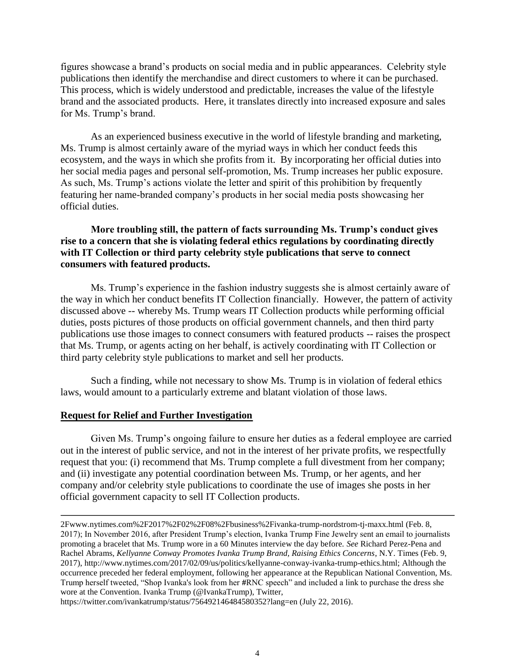figures showcase a brand's products on social media and in public appearances. Celebrity style publications then identify the merchandise and direct customers to where it can be purchased. This process, which is widely understood and predictable, increases the value of the lifestyle brand and the associated products. Here, it translates directly into increased exposure and sales for Ms. Trump's brand.

As an experienced business executive in the world of lifestyle branding and marketing, Ms. Trump is almost certainly aware of the myriad ways in which her conduct feeds this ecosystem, and the ways in which she profits from it. By incorporating her official duties into her social media pages and personal self-promotion, Ms. Trump increases her public exposure. As such, Ms. Trump's actions violate the letter and spirit of this prohibition by frequently featuring her name-branded company's products in her social media posts showcasing her official duties.

### **More troubling still, the pattern of facts surrounding Ms. Trump's conduct gives rise to a concern that she is violating federal ethics regulations by coordinating directly with IT Collection or third party celebrity style publications that serve to connect consumers with featured products.**

Ms. Trump's experience in the fashion industry suggests she is almost certainly aware of the way in which her conduct benefits IT Collection financially. However, the pattern of activity discussed above -- whereby Ms. Trump wears IT Collection products while performing official duties, posts pictures of those products on official government channels, and then third party publications use those images to connect consumers with featured products -- raises the prospect that Ms. Trump, or agents acting on her behalf, is actively coordinating with IT Collection or third party celebrity style publications to market and sell her products.

Such a finding, while not necessary to show Ms. Trump is in violation of federal ethics laws, would amount to a particularly extreme and blatant violation of those laws.

### **Request for Relief and Further Investigation**

Given Ms. Trump's ongoing failure to ensure her duties as a federal employee are carried out in the interest of public service, and not in the interest of her private profits, we respectfully request that you: (i) recommend that Ms. Trump complete a full divestment from her company; and (ii) investigate any potential coordination between Ms. Trump, or her agents, and her company and/or celebrity style publications to coordinate the use of images she posts in her official government capacity to sell IT Collection products.

https://twitter.com/ivankatrump/status/756492146484580352?lang=en (July 22, 2016).

<sup>2</sup>Fwww.nytimes.com%2F2017%2F02%2F08%2Fbusiness%2Fivanka-trump-nordstrom-tj-maxx.html (Feb. 8, 2017); In November 2016, after President Trump's election, Ivanka Trump Fine Jewelry sent an email to journalists promoting a bracelet that Ms. Trump wore in a 60 Minutes interview the day before. *See* Richard Perez-Pena and Rachel Abrams, *Kellyanne Conway Promotes Ivanka Trump Brand, Raising Ethics Concerns*, N.Y. Times (Feb. 9, 2017), http://www.nytimes.com/2017/02/09/us/politics/kellyanne-conway-ivanka-trump-ethics.html; Although the occurrence preceded her federal employment, following her appearance at the Republican National Convention, Ms. Trump herself tweeted, "Shop Ivanka's look from her **#**RNC speech" and included a link to purchase the dress she wore at the Convention. Ivanka Trump (@IvankaTrump), Twitter,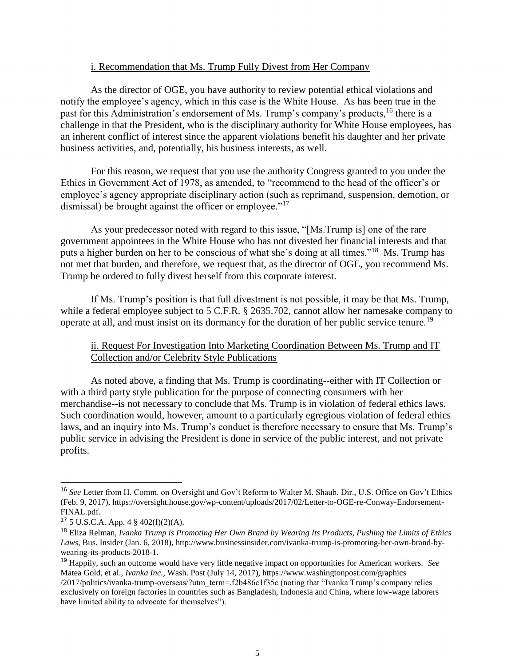### i. Recommendation that Ms. Trump Fully Divest from Her Company

As the director of OGE, you have authority to review potential ethical violations and notify the employee's agency, which in this case is the White House. As has been true in the past for this Administration's endorsement of Ms. Trump's company's products,<sup>16</sup> there is a challenge in that the President, who is the disciplinary authority for White House employees, has an inherent conflict of interest since the apparent violations benefit his daughter and her private business activities, and, potentially, his business interests, as well.

For this reason, we request that you use the authority Congress granted to you under the Ethics in Government Act of 1978, as amended, to "recommend to the head of the officer's or employee's agency appropriate disciplinary action (such as reprimand, suspension, demotion, or dismissal) be brought against the officer or employee."<sup>17</sup>

As your predecessor noted with regard to this issue, "[Ms.Trump is] one of the rare government appointees in the White House who has not divested her financial interests and that puts a higher burden on her to be conscious of what she's doing at all times."<sup>18</sup> Ms. Trump has not met that burden, and therefore, we request that, as the director of OGE, you recommend Ms. Trump be ordered to fully divest herself from this corporate interest.

If Ms. Trump's position is that full divestment is not possible, it may be that Ms. Trump, while a federal employee subject to 5 C.F.R. § 2635.702, cannot allow her namesake company to operate at all, and must insist on its dormancy for the duration of her public service tenure.<sup>19</sup>

# ii. Request For Investigation Into Marketing Coordination Between Ms. Trump and IT Collection and/or Celebrity Style Publications

As noted above, a finding that Ms. Trump is coordinating--either with IT Collection or with a third party style publication for the purpose of connecting consumers with her merchandise--is not necessary to conclude that Ms. Trump is in violation of federal ethics laws. Such coordination would, however, amount to a particularly egregious violation of federal ethics laws, and an inquiry into Ms. Trump's conduct is therefore necessary to ensure that Ms. Trump's public service in advising the President is done in service of the public interest, and not private profits.

 $\overline{a}$ 

<sup>16</sup> *See* Letter from H. Comm. on Oversight and Gov't Reform to Walter M. Shaub, Dir., U.S. Office on Gov't Ethics (Feb. 9, 2017), https://oversight.house.gov/wp-content/uploads/2017/02/Letter-to-OGE-re-Conway-Endorsement-FINAL.pdf.

<sup>17</sup> 5 U.S.C.A. App. 4 § 402(f)(2)(A).

<sup>18</sup> Eliza Relman, *Ivanka Trump is Promoting Her Own Brand by Wearing Its Products, Pushing the Limits of Ethics Laws,* Bus. Insider (Jan. 6, 2018), http://www.businessinsider.com/ivanka-trump-is-promoting-her-own-brand-bywearing-its-products-2018-1.

<sup>19</sup> Happily, such an outcome would have very little negative impact on opportunities for American workers. *See* Matea Gold, et al., *Ivanka Inc.*, Wash. Post (July 14, 2017), https://www.washingtonpost.com/graphics /2017/politics/ivanka-trump-overseas/?utm\_term=.f2b486c1f35c (noting that "Ivanka Trump's company relies exclusively on foreign factories in countries such as Bangladesh, Indonesia and China, where low-wage laborers have limited ability to advocate for themselves").